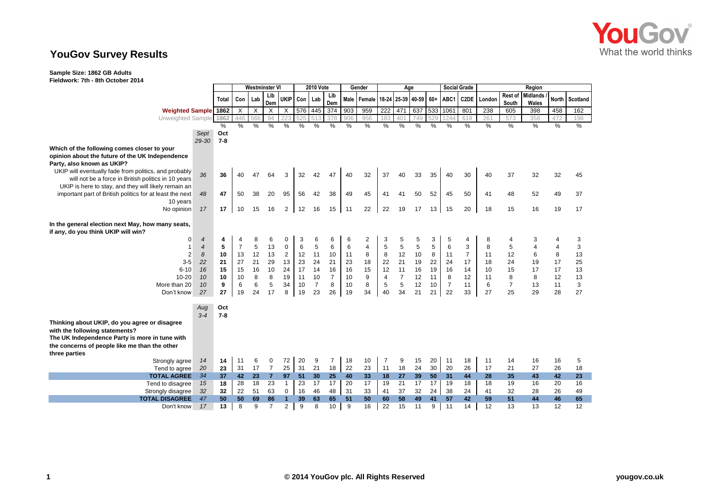

## **YouGov Survey Results**

**Sample Size: 1862 GB Adults**

**Fieldwork: 7th - 8th October 2014**

|       | Westminster VI                                                                                                               |                                                                                |                                                                |                                                                           | <b>2010 Vote</b>                                                     |                                       |                                                       | Gender                                                               |                                                                | Age                                                 |                                                                     |                                                                     |                                              |                                                                                      |                                                                  | Region                                                                     |                                               |                                                              |                                                                      |                                                     |
|-------|------------------------------------------------------------------------------------------------------------------------------|--------------------------------------------------------------------------------|----------------------------------------------------------------|---------------------------------------------------------------------------|----------------------------------------------------------------------|---------------------------------------|-------------------------------------------------------|----------------------------------------------------------------------|----------------------------------------------------------------|-----------------------------------------------------|---------------------------------------------------------------------|---------------------------------------------------------------------|----------------------------------------------|--------------------------------------------------------------------------------------|------------------------------------------------------------------|----------------------------------------------------------------------------|-----------------------------------------------|--------------------------------------------------------------|----------------------------------------------------------------------|-----------------------------------------------------|
| Total |                                                                                                                              | Lab                                                                            | Lib                                                            | <b>UKIP</b>                                                               |                                                                      |                                       | Lib                                                   |                                                                      |                                                                |                                                     |                                                                     |                                                                     | $60+$                                        | ABC1                                                                                 | C2DE                                                             | London                                                                     | Rest of                                       |                                                              | North                                                                | Scotland                                            |
|       |                                                                                                                              |                                                                                |                                                                |                                                                           |                                                                      |                                       |                                                       |                                                                      |                                                                |                                                     |                                                                     |                                                                     |                                              |                                                                                      |                                                                  |                                                                            |                                               |                                                              |                                                                      | 162                                                 |
|       |                                                                                                                              |                                                                                |                                                                |                                                                           |                                                                      |                                       |                                                       |                                                                      |                                                                |                                                     |                                                                     |                                                                     |                                              |                                                                                      |                                                                  |                                                                            |                                               |                                                              |                                                                      | 198                                                 |
| %     | $\%$                                                                                                                         | $\frac{0}{0}$                                                                  | $\frac{0}{2}$                                                  | %                                                                         | %                                                                    | $\frac{0}{0}$                         | $\frac{0}{2}$                                         | $\frac{0}{0}$                                                        | $\%$                                                           | $\%$                                                | %                                                                   | $\%$                                                                | $\frac{0}{2}$                                | $\%$                                                                                 | $\%$                                                             | $\frac{9}{6}$                                                              | $\%$                                          | $\%$                                                         | $\%$                                                                 | $\frac{9}{6}$                                       |
| Oct   |                                                                                                                              |                                                                                |                                                                |                                                                           |                                                                      |                                       |                                                       |                                                                      |                                                                |                                                     |                                                                     |                                                                     |                                              |                                                                                      |                                                                  |                                                                            |                                               |                                                              |                                                                      |                                                     |
| $7-8$ |                                                                                                                              |                                                                                |                                                                |                                                                           |                                                                      |                                       |                                                       |                                                                      |                                                                |                                                     |                                                                     |                                                                     |                                              |                                                                                      |                                                                  |                                                                            |                                               |                                                              |                                                                      |                                                     |
|       |                                                                                                                              |                                                                                |                                                                |                                                                           |                                                                      |                                       |                                                       |                                                                      |                                                                |                                                     |                                                                     |                                                                     |                                              |                                                                                      |                                                                  |                                                                            |                                               |                                                              |                                                                      |                                                     |
|       |                                                                                                                              |                                                                                |                                                                |                                                                           |                                                                      |                                       |                                                       |                                                                      |                                                                |                                                     |                                                                     |                                                                     |                                              |                                                                                      |                                                                  |                                                                            |                                               |                                                              |                                                                      |                                                     |
|       |                                                                                                                              |                                                                                |                                                                |                                                                           |                                                                      |                                       |                                                       |                                                                      |                                                                |                                                     |                                                                     |                                                                     |                                              |                                                                                      |                                                                  |                                                                            |                                               |                                                              |                                                                      |                                                     |
|       |                                                                                                                              |                                                                                |                                                                |                                                                           |                                                                      |                                       |                                                       |                                                                      |                                                                |                                                     |                                                                     |                                                                     |                                              |                                                                                      |                                                                  |                                                                            |                                               |                                                              |                                                                      | 45                                                  |
|       |                                                                                                                              |                                                                                |                                                                |                                                                           |                                                                      |                                       |                                                       |                                                                      |                                                                |                                                     |                                                                     |                                                                     |                                              |                                                                                      |                                                                  |                                                                            |                                               |                                                              |                                                                      |                                                     |
|       |                                                                                                                              |                                                                                |                                                                |                                                                           |                                                                      |                                       |                                                       |                                                                      |                                                                |                                                     |                                                                     |                                                                     |                                              |                                                                                      |                                                                  |                                                                            |                                               |                                                              |                                                                      |                                                     |
|       |                                                                                                                              |                                                                                |                                                                |                                                                           |                                                                      |                                       |                                                       |                                                                      |                                                                |                                                     |                                                                     |                                                                     |                                              |                                                                                      |                                                                  |                                                                            |                                               |                                                              |                                                                      | 37                                                  |
|       |                                                                                                                              |                                                                                |                                                                |                                                                           |                                                                      |                                       |                                                       |                                                                      |                                                                |                                                     |                                                                     |                                                                     |                                              |                                                                                      |                                                                  |                                                                            |                                               |                                                              |                                                                      | 17                                                  |
|       |                                                                                                                              |                                                                                |                                                                |                                                                           |                                                                      |                                       |                                                       |                                                                      |                                                                |                                                     |                                                                     |                                                                     |                                              |                                                                                      |                                                                  |                                                                            |                                               |                                                              |                                                                      |                                                     |
|       |                                                                                                                              |                                                                                |                                                                |                                                                           |                                                                      |                                       |                                                       |                                                                      |                                                                |                                                     |                                                                     |                                                                     |                                              |                                                                                      |                                                                  |                                                                            |                                               |                                                              |                                                                      |                                                     |
|       |                                                                                                                              |                                                                                |                                                                |                                                                           |                                                                      |                                       |                                                       |                                                                      |                                                                |                                                     |                                                                     |                                                                     |                                              |                                                                                      |                                                                  |                                                                            |                                               |                                                              |                                                                      |                                                     |
|       |                                                                                                                              |                                                                                |                                                                |                                                                           |                                                                      |                                       |                                                       |                                                                      |                                                                |                                                     |                                                                     |                                                                     |                                              |                                                                                      |                                                                  |                                                                            |                                               |                                                              |                                                                      | 3                                                   |
| 5     |                                                                                                                              | 5                                                                              | 13                                                             | $\mathbf 0$                                                               | 6                                                                    | 5                                     | 6                                                     |                                                                      | $\overline{4}$                                                 |                                                     |                                                                     | 5                                                                   |                                              | 6                                                                                    | 3                                                                | 8                                                                          | 5                                             |                                                              | 4                                                                    | 3                                                   |
| 10    | 13                                                                                                                           | 12                                                                             | 13                                                             | $\overline{2}$                                                            | 12                                                                   | 11                                    | 10                                                    | 11                                                                   | 8                                                              |                                                     | 12                                                                  | 10                                                                  | 8                                            | 11                                                                                   | $\overline{7}$                                                   | 11                                                                         | 12                                            | 6                                                            | 8                                                                    | 13                                                  |
| 21    | 27                                                                                                                           | 21                                                                             | 29                                                             | 13                                                                        | 23                                                                   | 24                                    | 21                                                    | 23                                                                   | 18                                                             | 22                                                  | 21                                                                  | 19                                                                  | 22                                           | 24                                                                                   | 17                                                               | 18                                                                         | 24                                            | 19                                                           | 17                                                                   | 25                                                  |
| 15    | 15                                                                                                                           | 16                                                                             | 10                                                             | 24                                                                        | 17                                                                   | 14                                    | 16                                                    | 16                                                                   | 15                                                             | 12                                                  | 11                                                                  | 16                                                                  | 19                                           | 16                                                                                   | 14                                                               | 10                                                                         | 15                                            | 17                                                           | 17                                                                   | 13                                                  |
| 10    | 10                                                                                                                           | 8                                                                              | 8                                                              | 19                                                                        | 11                                                                   | 10                                    | $\overline{7}$                                        | 10                                                                   | 9                                                              | 4                                                   | $\overline{7}$                                                      | 12                                                                  | 11                                           | 8                                                                                    | 12                                                               | 11                                                                         | 8                                             | 8                                                            | 12                                                                   | 13                                                  |
| 9     | 6                                                                                                                            | 6                                                                              | 5                                                              | 34                                                                        | 10                                                                   | $\overline{7}$                        | 8                                                     |                                                                      | 8                                                              | 5                                                   | 5                                                                   | 12                                                                  | 10                                           | $\overline{7}$                                                                       | 11                                                               | 6                                                                          | $\overline{7}$                                | 13                                                           | 11                                                                   | 3                                                   |
|       |                                                                                                                              | 24                                                                             |                                                                | 8                                                                         |                                                                      |                                       |                                                       |                                                                      | 34                                                             | 40                                                  | 34                                                                  |                                                                     | 21                                           |                                                                                      |                                                                  | 27                                                                         |                                               | 29                                                           |                                                                      | 27                                                  |
|       |                                                                                                                              |                                                                                |                                                                |                                                                           |                                                                      |                                       |                                                       |                                                                      |                                                                |                                                     |                                                                     |                                                                     |                                              |                                                                                      |                                                                  |                                                                            |                                               |                                                              |                                                                      |                                                     |
|       |                                                                                                                              |                                                                                |                                                                |                                                                           |                                                                      |                                       |                                                       |                                                                      |                                                                |                                                     |                                                                     |                                                                     |                                              |                                                                                      |                                                                  |                                                                            |                                               |                                                              |                                                                      |                                                     |
|       |                                                                                                                              |                                                                                |                                                                |                                                                           |                                                                      |                                       |                                                       |                                                                      |                                                                |                                                     |                                                                     |                                                                     |                                              |                                                                                      |                                                                  |                                                                            |                                               |                                                              |                                                                      |                                                     |
|       |                                                                                                                              |                                                                                |                                                                |                                                                           |                                                                      |                                       |                                                       |                                                                      |                                                                |                                                     |                                                                     |                                                                     |                                              |                                                                                      |                                                                  |                                                                            |                                               |                                                              |                                                                      |                                                     |
|       |                                                                                                                              |                                                                                |                                                                |                                                                           |                                                                      |                                       |                                                       |                                                                      |                                                                |                                                     |                                                                     |                                                                     |                                              |                                                                                      |                                                                  |                                                                            |                                               |                                                              |                                                                      |                                                     |
|       |                                                                                                                              |                                                                                |                                                                |                                                                           |                                                                      |                                       |                                                       |                                                                      |                                                                |                                                     |                                                                     |                                                                     |                                              |                                                                                      |                                                                  |                                                                            |                                               |                                                              |                                                                      |                                                     |
|       |                                                                                                                              |                                                                                |                                                                |                                                                           |                                                                      |                                       |                                                       |                                                                      |                                                                |                                                     |                                                                     |                                                                     |                                              |                                                                                      |                                                                  |                                                                            |                                               |                                                              |                                                                      |                                                     |
|       |                                                                                                                              |                                                                                |                                                                |                                                                           |                                                                      |                                       |                                                       |                                                                      |                                                                |                                                     |                                                                     |                                                                     |                                              |                                                                                      |                                                                  |                                                                            |                                               |                                                              |                                                                      | 5                                                   |
|       |                                                                                                                              |                                                                                |                                                                |                                                                           |                                                                      |                                       |                                                       |                                                                      |                                                                |                                                     |                                                                     |                                                                     |                                              |                                                                                      |                                                                  |                                                                            |                                               |                                                              |                                                                      | 18                                                  |
| 37    | 42                                                                                                                           | 23                                                                             | $\overline{7}$                                                 | 97                                                                        | 51                                                                   | 30                                    | 25                                                    | 40                                                                   |                                                                | 18                                                  |                                                                     | 39                                                                  | 50                                           | 31                                                                                   | 44                                                               | 28                                                                         | 35                                            | 43                                                           | 42                                                                   | 23                                                  |
| 18    | 28                                                                                                                           | 18                                                                             | 23                                                             | $\overline{1}$                                                            | 23                                                                   | 17                                    | 17                                                    | 20                                                                   | 17                                                             | 19                                                  | 21                                                                  | 17                                                                  | 17                                           | 19                                                                                   | 18                                                               | 18                                                                         | 19                                            | 16                                                           | 20                                                                   | 16                                                  |
| 32    | 22                                                                                                                           | 51                                                                             | 63                                                             | 0                                                                         | 16                                                                   | 46                                    | 48                                                    | 31                                                                   | 33                                                             | 41                                                  | 37                                                                  | 32                                                                  | 24                                           | 38                                                                                   | 24                                                               | 41                                                                         | 32                                            | 28                                                           | 26                                                                   | 49                                                  |
| 50    | 50                                                                                                                           | 69                                                                             | 86                                                             | $\overline{1}$                                                            | 39                                                                   | 63                                    | 65                                                    | 51                                                                   | 50                                                             | 60                                                  | 58                                                                  | 49                                                                  | 41                                           | 57                                                                                   | 42                                                               | 59                                                                         | 51                                            | 44                                                           | 46                                                                   | 65                                                  |
| 13    | 8                                                                                                                            | 9                                                                              | $\overline{7}$                                                 | $\overline{\mathbf{c}}$                                                   | 9                                                                    | 8                                     | 10                                                    | 9                                                                    | 16                                                             | 22                                                  | 15                                                                  | 11                                                                  | 9                                            | 11                                                                                   | 14                                                               | 12                                                                         | 13                                            | 13                                                           | 12                                                                   | 12                                                  |
|       | <b>Weighted Sample 1862</b><br>Unweighted Sample<br>1862<br>29-30<br>36<br>47<br>17<br>4<br>27<br>Oct<br>$7 - 8$<br>14<br>23 | $\mathsf{X}$<br>446<br>40<br>50<br>10<br>4<br>$\overline{7}$<br>19<br>11<br>31 | Con  <br>$\mathsf{X}$<br>566<br>47<br>38<br>15<br>8<br>6<br>17 | Dem<br>$\times$<br>94<br>64<br>20<br>16<br>6<br>17<br>0<br>$\overline{7}$ | $\mathsf{X}$<br>3<br>95<br>$\overline{2}$<br>$\mathbf 0$<br>72<br>25 | 32<br>56<br>12<br>3<br>19<br>20<br>31 | Con Lab<br>51<br>42<br>42<br>16<br>6<br>23<br>9<br>21 | Dem<br>576 445<br>374<br>378<br>47<br>38<br>15<br>6<br>26<br>7<br>18 | 903<br>906<br>40<br>49<br>11<br>6<br>6<br>10<br>19<br>18<br>22 | 959<br>956<br>32<br>45<br>22<br>2<br>10<br>23<br>33 | $\overline{222}$<br>183<br>37<br>41<br>22<br>3<br>5<br>8<br>7<br>11 | 471<br>40 <sup>°</sup><br>40<br>41<br>19<br>5<br>5<br>9<br>18<br>27 | 749<br>33<br>50<br>17<br>5<br>21<br>15<br>24 | Male   Female   18-24   25-39   40-59<br>529<br>35<br>52<br>13<br>3<br>5<br>20<br>30 | 637 533<br>1061<br>1244<br>40<br>45<br>15<br>5<br>22<br>11<br>20 | <b>Social Grade</b><br>801<br>618<br>30<br>50<br>20<br>4<br>33<br>18<br>26 | 238<br>261<br>40<br>41<br>18<br>8<br>11<br>17 | South<br>605<br>573<br>37<br>48<br>15<br>4<br>25<br>14<br>21 | <b>Midlands</b><br>Wales<br>398<br>358<br>32<br>52<br>16<br>16<br>27 | 458<br>472<br>32<br>49<br>19<br>4<br>28<br>16<br>26 |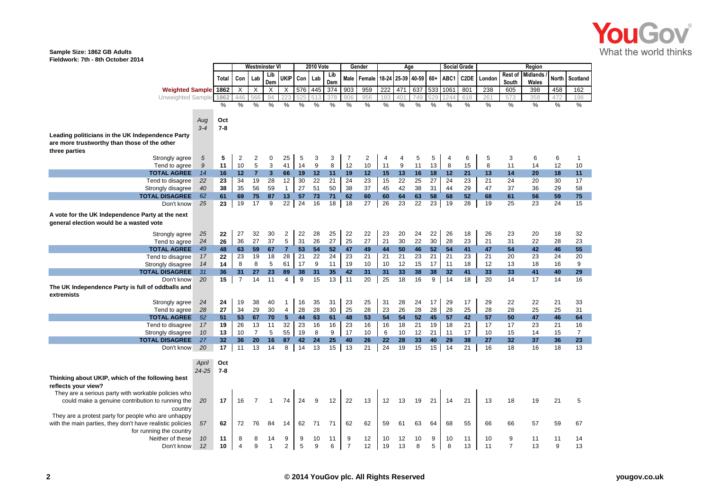

## **Sample Size: 1862 GB Adults**

**Fieldwork: 7th - 8th October 2014**

|                                                                                                                    |                    |                | <b>Westminster VI</b> |                |                      |                           | <b>2010 Vote</b> |         |            | Gender              |          |          | Age               |         |        |         | <b>Social Grade</b> |          |                         | Region            |         |                |
|--------------------------------------------------------------------------------------------------------------------|--------------------|----------------|-----------------------|----------------|----------------------|---------------------------|------------------|---------|------------|---------------------|----------|----------|-------------------|---------|--------|---------|---------------------|----------|-------------------------|-------------------|---------|----------------|
|                                                                                                                    |                    | Total          | Con                   | Lab            | Lib<br>Dem           | ukip                      | Con              | Lab     | Lib<br>Dem | <b>Male</b>         | Female   |          | 18-24 25-39 40-59 |         | $60+$  | ABC1    | C2DE                | London   | <b>Rest of</b><br>South | Midlands<br>Wales | North   | Scotland       |
| <b>Weighted Sample 1862</b>                                                                                        |                    |                | X                     | $\times$       | $\times$             | $\boldsymbol{\mathsf{X}}$ |                  | 576 445 | 374        | 903                 | 959      | 222      | 471               | 637 533 |        | 1061    | 801                 | 238      | 605                     | 398               | 458     | 162            |
| Unweighted Sample 1862                                                                                             |                    |                | 446                   | 566            | 94                   |                           | 525              | 513     | 378        | 906                 | 956      | 183      | 401               | 749     | 529    | 1244    | 618                 | 261      | 573                     | 358               | 472     | 198            |
|                                                                                                                    |                    | %              | %                     | %              | %                    | %                         | %                | %       | %          | %                   | %        | %        | %                 | %       | %      | %       | %                   | $\%$     | %                       | %                 | $\%$    | %              |
|                                                                                                                    | Aug<br>$3 - 4$     | Oct<br>$7 - 8$ |                       |                |                      |                           |                  |         |            |                     |          |          |                   |         |        |         |                     |          |                         |                   |         |                |
| Leading politicians in the UK Independence Party<br>are more trustworthy than those of the other<br>three parties  |                    |                |                       |                |                      |                           |                  |         |            |                     |          |          |                   |         |        |         |                     |          |                         |                   |         |                |
| Strongly agree                                                                                                     | 5                  | 5              | $\overline{2}$        | 2              | 0                    | 25                        | 5                | 3       | 3          | 7                   | 2        | 4        | $\overline{4}$    | 5       | 5      | 4       | 6                   | 5        | 3                       | 6                 | 6       | 1              |
| Tend to agree                                                                                                      | $\boldsymbol{9}$   | 11             | 10                    | 5              | 3                    | 41                        | 14               | 9       | 8          | 12                  | 10       | 11       | 9                 | 11      | 13     | 8       | 15                  | 8        | 11                      | 14                | 12      | 10             |
| <b>TOTAL AGREE</b>                                                                                                 | 14                 | 16             | 12                    | $\overline{7}$ | $\mathbf{3}$         | 66                        | 19               | 12      | 11         | 19                  | 12       | 15       | 13                | 16      | 18     | 12      | 21                  | 13       | 14                      | 20                | 18      | 11             |
| Tend to disagree                                                                                                   | 22                 | 23             | 34                    | 19             | 28                   | 12                        | 30               | 22      | 21         | 24                  | 23       | 15       | 22                | 25      | 27     | 24      | 23                  | 21       | 24                      | 20                | 30      | 17             |
| Strongly disagree                                                                                                  | 40                 | 38             | 35                    | 56             | 59                   | $\mathbf{1}$              | 27               | 51      | 50         | 38                  | 37       | 45       | 42                | 38      | 31     | 44      | 29                  | 47       | 37                      | 36                | 29      | 58             |
| <b>TOTAL DISAGREE</b>                                                                                              | 62                 | 61             | 69                    | 75             | 87                   | 13                        | 57               | 73      | 71         | 62                  | 60       | 60       | 64                | 63      | 58     | 68      | 52                  | 68       | 61                      | 56                | 59      | 75             |
| Don't know                                                                                                         | 25                 | 23             | 19                    | 17             | 9                    | 22 <sub>1</sub>           | 24               | 16      | 18         | 18                  | 27       | 26       | 23                | 22      | 23     | 19      | 28                  | 19       | 25                      | 23                | 24      | 15             |
| A vote for the UK Independence Party at the next<br>general election would be a wasted vote                        |                    |                |                       |                |                      |                           |                  |         |            |                     |          |          |                   |         |        |         |                     |          |                         |                   |         |                |
| Strongly agree                                                                                                     | 25                 | 22             | 27                    | 32             | 30                   | 2                         | 22               | 28      | 25         | 22                  | 22       | 23       | 20                | 24      | 22     | 26      | 18                  | 26       | 23                      | 20                | 18      | 32             |
| Tend to agree                                                                                                      | 24                 | 26             | 36                    | 27             | 37                   | 5                         | 31               | 26      | 27         | 25                  | 27       | 21       | 30                | 22      | 30     | 28      | 23                  | 21       | 31                      | 22                | 28      | 23             |
| <b>TOTAL AGREE</b>                                                                                                 | 49                 | 48             | 63                    | 59             | 67                   | $\overline{7}$            | 53               | 54      | 52         | 47                  | 49       | 44       | 50                | 46      | 52     | 54      | 41                  | 47       | 54                      | 42                | 46      | 55             |
| Tend to disagree                                                                                                   | 17                 | 22             | 23                    | 19             | 18                   | 28                        | 21               | 22      | 24         | 23                  | 21       | 21       | 21                | 23      | 21     | 21      | 23                  | 21       | 20                      | 23                | 24      | 20             |
| Strongly disagree                                                                                                  | 14                 | 14             | 8                     | 8              | 5                    | 61                        | 17               | 9       | 11         | 19                  | 10       | 10       | 12                | 15      | 17     | 11      | 18                  | 12       | 13                      | 18                | 16      | 9              |
| <b>TOTAL DISAGREE</b>                                                                                              | 31                 | 36             | 31                    | 27             | 23                   | 89                        | 38               | 31      | 35         | 42                  | 31       | 31       | 33                | 38      | 38     | 32      | 41                  | 33       | 33                      | 41                | 40      | 29             |
| Don't know<br>The UK Independence Party is full of oddballs and<br>extremists                                      | 20                 | 15             | $\overline{7}$        | 14             | 11                   | $\overline{4}$            | 9                | 15      | 13         | 11                  | 20       | 25       | 18                | 16      | 9      | 14      | 18                  | 20       | 14                      | 17                | 14      | 16             |
| Strongly agree                                                                                                     | 24                 | 24             | 19                    | 38             | 40                   | $\mathbf{1}$              | 16               | 35      | 31         | 23                  | 25       | 31       | 28                | 24      | 17     | 29      | 17                  | 29       | 22                      | 22                | 21      | 33             |
| Tend to agree                                                                                                      | 28                 | 27             | 34                    | 29             | 30                   | $\overline{4}$            | 28               | 28      | 30         | 25                  | 28       | 23       | 26                | 28      | 28     | 28      | 25                  | 28       | 28                      | 25                | 25      | 31             |
| <b>TOTAL AGREE</b>                                                                                                 | 52                 | 51             | 53                    | 67             | 70                   | $5\phantom{.0}$           | 44               | 63      | 61         | 48                  | 53       | 54       | 54                | 52      | 45     | 57      | 42                  | 57       | 50                      | 47                | 46      | 64             |
| Tend to disagree                                                                                                   | 17                 | 19             | 26                    | 13             | 11                   | 32                        | 23               | 16      | 16         | 23                  | 16       | 16       | 18                | 21      | 19     | 18      | 21                  | 17       | 17                      | 23                | 21      | 16             |
| Strongly disagree                                                                                                  | 10                 | 13             | 10                    | $\overline{7}$ | 5                    | 55                        | 19               | 8       | 9          | 17                  | 10       | 6        | 10                | 12      | 21     | 11      | 17                  | 10       | 15                      | 14                | 15      | $\overline{7}$ |
| <b>TOTAL DISAGREE</b>                                                                                              | 27                 | 32             | 36                    | 20             | 16                   | 87                        | 42               | 24      | 25         | 40                  | 26       | 22       | 28                | 33      | 40     | 29      | 38                  | 27       | 32                      | 37                | 36      | 23             |
| Don't know                                                                                                         | 20                 | 17             | 11                    | 13             | 14                   | 8                         | 14               | 13      | 15         | 13                  | 21       | 24       | 19                | 15      | 15     | 14      | 21                  | 16       | 18                      | 16                | 18      | 13             |
|                                                                                                                    | April<br>$24 - 25$ | Oct<br>$7 - 8$ |                       |                |                      |                           |                  |         |            |                     |          |          |                   |         |        |         |                     |          |                         |                   |         |                |
| Thinking about UKIP, which of the following best<br>reflects your view?                                            |                    |                |                       |                |                      |                           |                  |         |            |                     |          |          |                   |         |        |         |                     |          |                         |                   |         |                |
| They are a serious party with workable policies who<br>could make a genuine contribution to running the<br>country | 20                 | 17             | 16                    | $\overline{7}$ | $\mathbf{1}$         | 74                        | 24               | 9       | 12         | 22                  | 13       | 12       | 13                | 19      | 21     | 14      | 21                  | 13       | 18                      | 19                | 21      | 5              |
| They are a protest party for people who are unhappy<br>with the main parties, they don't have realistic policies   | 57                 | 62             | 72                    | 76             | 84                   | 14                        | 62               | 71      | 71         | 62                  | 62       | 59       | 61                | 63      | 64     | 68      | 55                  | 66       | 66                      | 57                | 59      | 67             |
| for running the country                                                                                            |                    |                |                       |                |                      |                           |                  |         |            |                     |          |          |                   |         |        |         |                     |          |                         |                   |         |                |
| Neither of these<br>Don't know                                                                                     | 10<br>12           | 11<br>10       | 8<br>$\Delta$         | 8<br>9         | 14<br>$\overline{1}$ | 9<br>$\overline{2}$       | 9<br>5           | 10<br>9 | 11<br>6    | 9<br>$\overline{7}$ | 12<br>12 | 10<br>19 | 12<br>13          | 10<br>8 | 9<br>5 | 10<br>8 | 11<br>13            | 10<br>11 | 9<br>7                  | 11<br>13          | 11<br>9 | 14<br>13       |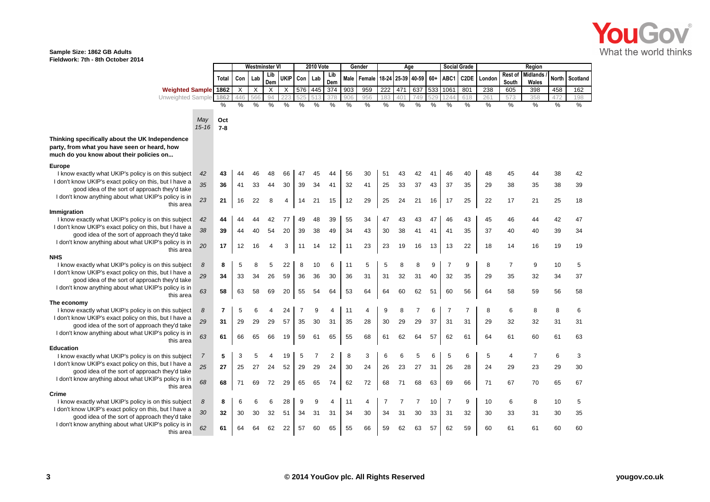

## **Sample Size: 1862 GB Adults Fieldwork: 7th - 8th October 2014**

|                                                                                          |                  |                |      | <b>Westminster VI</b> |                |             | <b>2010 Vote</b> |                |                | Gender |        |       | Age   |                |          |                | <b>Social Grade</b> |               |                  | Region                   |       |          |
|------------------------------------------------------------------------------------------|------------------|----------------|------|-----------------------|----------------|-------------|------------------|----------------|----------------|--------|--------|-------|-------|----------------|----------|----------------|---------------------|---------------|------------------|--------------------------|-------|----------|
|                                                                                          |                  | Total          | Con  | Lab                   | Lib<br>Dem     | <b>UKIP</b> | Con              | Lab            | Lib<br>Dem     | Male   | Female | 18-24 | 25-39 | 40-59 60+ ABC1 |          |                | C <sub>2</sub> DE   | London        | Rest of<br>South | <b>Midlands</b><br>Wales | North | Scotland |
| <b>Weighted Sample 1862</b>                                                              |                  |                | X    | $\times$              | $\times$       | $\times$    |                  | 576 445        | 374            | 903    | 959    | 222   | 471   | 637            | 533 1061 |                | 801                 | 238           | 605              | 398                      | 458   | 162      |
| Unweighted Sample                                                                        |                  | 1862           | 446  | 566                   | 94             |             |                  |                | 378            | 906    | 956    | 183   | 401   | 749            | 529      | 1244           | 618                 | 261           | 573              | 358                      | 472   | 198      |
|                                                                                          |                  | %              | $\%$ | $\%$                  | %              | %           | $\%$             | $\%$           | %              | $\%$   | $\%$   | %     | %     | %              | $\%$     | $\%$           | %                   | $\frac{0}{0}$ | $\frac{0}{0}$    | %                        | $\%$  | $\%$     |
|                                                                                          |                  |                |      |                       |                |             |                  |                |                |        |        |       |       |                |          |                |                     |               |                  |                          |       |          |
|                                                                                          | May<br>$15 - 16$ | Oct<br>$7 - 8$ |      |                       |                |             |                  |                |                |        |        |       |       |                |          |                |                     |               |                  |                          |       |          |
| Thinking specifically about the UK Independence                                          |                  |                |      |                       |                |             |                  |                |                |        |        |       |       |                |          |                |                     |               |                  |                          |       |          |
| party, from what you have seen or heard, how<br>much do you know about their policies on |                  |                |      |                       |                |             |                  |                |                |        |        |       |       |                |          |                |                     |               |                  |                          |       |          |
| <b>Europe</b>                                                                            |                  |                |      |                       |                |             |                  |                |                |        |        |       |       |                |          |                |                     |               |                  |                          |       |          |
| I know exactly what UKIP's policy is on this subject                                     | 42               | 43             | 44   | 46                    | 48             | 66          | 47               | 45             | 44             | 56     | 30     | 51    | 43    | 42             | 41       | 46             | 40                  | 48            | 45               | 44                       | 38    | 42       |
| I don't know UKIP's exact policy on this, but I have a                                   | 35               | 36             | 41   | 33                    | 44             | 30          | 39               | 34             | 41             | 32     | 41     | 25    | 33    | 37             | 43       | 37             | 35                  | 29            | 38               | 35                       | 38    | 39       |
| good idea of the sort of approach they'd take                                            |                  |                |      |                       |                |             |                  |                |                |        |        |       |       |                |          |                |                     |               |                  |                          |       |          |
| I don't know anything about what UKIP's policy is in<br>this area                        | 23               | 21             | 16   | 22                    | 8              | 4           | 14               | 21             | 15             | 12     | 29     | 25    | 24    | 21             | 16       | 17             | 25                  | 22            | 17               | 21                       | 25    | 18       |
| Immigration                                                                              |                  |                |      |                       |                |             |                  |                |                |        |        |       |       |                |          |                |                     |               |                  |                          |       |          |
| I know exactly what UKIP's policy is on this subject                                     | 42               | 44             |      |                       | 42             | 77          | 49               | 48             | 39             | 55     | 34     | 47    | 43    | 43             | 47       | 46             | 43                  | 45            | 46               | 44                       | 42    | 47       |
| I don't know UKIP's exact policy on this, but I have a                                   | 38               | 39             | 44   | 40                    | 54             | 20          | 39               | 38             | 49             | 34     | 43     | 30    | 38    | 41             | 41       | 41             | 35                  | 37            | 40               | 40                       | 39    | 34       |
| good idea of the sort of approach they'd take                                            |                  |                |      |                       |                |             |                  |                |                |        |        |       |       |                |          |                |                     |               |                  |                          |       |          |
| I don't know anything about what UKIP's policy is in<br>this area                        | 20               | 17             | 12   | 16                    | $\overline{4}$ | 3           | 11               | 14             | 12             | 11     | 23     | 23    | 19    | 16             | 13       | 13             | 22                  | 18            | 14               | 16                       | 19    | 19       |
| <b>NHS</b>                                                                               |                  |                |      |                       |                |             |                  |                |                |        |        |       |       |                |          |                |                     |               |                  |                          |       |          |
| I know exactly what UKIP's policy is on this subject                                     | 8                | 8              | 5    | 8                     | 5              | 22          | 8                | 10             | 6              | 11     | 5      | 5     | 8     | 8              | 9        | $\overline{7}$ | 9                   | 8             | $\overline{7}$   | 9                        | 10    | 5        |
| I don't know UKIP's exact policy on this, but I have a                                   | 29               | 34             | 33   | 34                    | 26             | 59          | 36               | 36             | 30             | 36     | 31     | 31    | 32    | 31             | 40       | 32             | 35                  | 29            | 35               | 32                       | 34    | 37       |
| good idea of the sort of approach they'd take                                            |                  |                |      |                       |                |             |                  |                |                |        |        |       |       |                |          |                |                     |               |                  |                          |       |          |
| I don't know anything about what UKIP's policy is in                                     | 63               | 58             | 63   | 58                    | 69             | 20          | 55               | 54             | 64             | 53     | 64     | 64    | 60    | 62             | 51       | 60             | 56                  | 64            | 58               | 59                       | 56    | 58       |
| this area<br>The economy                                                                 |                  |                |      |                       |                |             |                  |                |                |        |        |       |       |                |          |                |                     |               |                  |                          |       |          |
| I know exactly what UKIP's policy is on this subject                                     | 8                | 7              | 5    | 6                     | 4              | 24          | 7                | 9              | 4              | 11     | 4      | 9     | 8     | 7              | 6        | $\overline{7}$ | 7                   | 8             | 6                | 8                        | 8     | 6        |
| I don't know UKIP's exact policy on this, but I have a                                   | 29               | 31             | 29   | 29                    | 29             | 57          | 35               | 30             | 31             | 35     | 28     | 30    | 29    | 29             | 37       | 31             | 31                  | 29            | 32               |                          | 31    | 31       |
| good idea of the sort of approach they'd take                                            |                  |                |      |                       |                |             |                  |                |                |        |        |       |       |                |          |                |                     |               |                  | 32                       |       |          |
| I don't know anything about what UKIP's policy is in<br>this area                        | 63               | 61             | 66   | 65                    | 66             | 19          | 59               | 61             | 65             | 55     | 68     | 61    | 62    | 64             | 57       | 62             | 61                  | 64            | 61               | 60                       | 61    | 63       |
| <b>Education</b>                                                                         |                  |                |      |                       |                |             |                  |                |                |        |        |       |       |                |          |                |                     |               |                  |                          |       |          |
| I know exactly what UKIP's policy is on this subject                                     | $\overline{7}$   | 5              | 3    | 5                     |                | 19          | 5                | $\overline{7}$ | $\overline{2}$ | 8      | 3      | 6     | 6     | 5              | 6        | 5              | 6                   | 5             | 4                | $\overline{7}$           | 6     | 3        |
| I don't know UKIP's exact policy on this, but I have a                                   | 25               | 27             | 25   | 27                    | 24             | 52          | 29               | 29             | 24             | 30     | 24     | 26    | 23    | 27             | 31       | 26             | 28                  | 24            | 29               | 23                       | 29    | 30       |
| good idea of the sort of approach they'd take                                            |                  |                |      |                       |                |             |                  |                |                |        |        |       |       |                |          |                |                     |               |                  |                          |       |          |
| I don't know anything about what UKIP's policy is in                                     | 68               | 68             | 71   | 69                    | 72             | 29          | 65               | 65             | 74             | 62     | 72     | 68    | 71    | 68             | 63       | 69             | 66                  | 71            | 67               | 70                       | 65    | 67       |
| this area<br>Crime                                                                       |                  |                |      |                       |                |             |                  |                |                |        |        |       |       |                |          |                |                     |               |                  |                          |       |          |
| I know exactly what UKIP's policy is on this subject                                     | 8                | 8              | 6    |                       | 6              | 28          | 9                | 9              | 4              | 11     | 4      | 7     | 7     | 7              | 10       | $\overline{7}$ | 9                   | 10            | 6                | 8                        | 10    | 5        |
| I don't know UKIP's exact policy on this, but I have a                                   |                  |                |      |                       |                |             |                  |                |                |        |        |       |       |                |          |                |                     |               |                  |                          |       |          |
| good idea of the sort of approach they'd take                                            | 30               | 32             | 30   | 30                    | 32             | 51          | 34               | 31             | 31             | 34     | 30     | 34    | 31    | 30             | 33       | 31             | 32                  | 30            | 33               | 31                       | 30    | 35       |
| I don't know anything about what UKIP's policy is in<br>this area                        | 62               | 61             | 64   | 64                    | 62             | 22          | 57               | 60             | 65             | 55     | 66     | 59    | 62    | 63             | 57       | 62             | 59                  | 60            | 61               | 61                       | 60    | 60       |